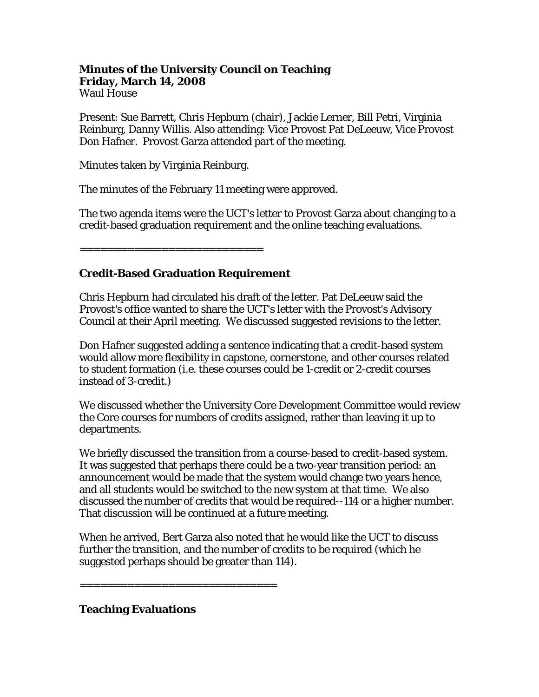## **Minutes of the University Council on Teaching Friday, March 14, 2008**  Waul House

Present: Sue Barrett, Chris Hepburn (chair), Jackie Lerner, Bill Petri, Virginia Reinburg, Danny Willis. Also attending: Vice Provost Pat DeLeeuw, Vice Provost Don Hafner. Provost Garza attended part of the meeting.

Minutes taken by Virginia Reinburg.

The minutes of the February 11 meeting were approved.

The two agenda items were the UCT's letter to Provost Garza about changing to a credit-based graduation requirement and the online teaching evaluations.

=============================

# **Credit-Based Graduation Requirement**

Chris Hepburn had circulated his draft of the letter. Pat DeLeeuw said the Provost's office wanted to share the UCT's letter with the Provost's Advisory Council at their April meeting. We discussed suggested revisions to the letter.

Don Hafner suggested adding a sentence indicating that a credit-based system would allow more flexibility in capstone, cornerstone, and other courses related to student formation (i.e. these courses could be 1-credit or 2-credit courses instead of 3-credit.)

We discussed whether the University Core Development Committee would review the Core courses for numbers of credits assigned, rather than leaving it up to departments.

We briefly discussed the transition from a course-based to credit-based system. It was suggested that perhaps there could be a two-year transition period: an announcement would be made that the system would change two years hence, and all students would be switched to the new system at that time. We also discussed the number of credits that would be required--114 or a higher number. That discussion will be continued at a future meeting.

When he arrived, Bert Garza also noted that he would like the UCT to discuss further the transition, and the number of credits to be required (which he suggested perhaps should be greater than 114).

=============================

# **Teaching Evaluations**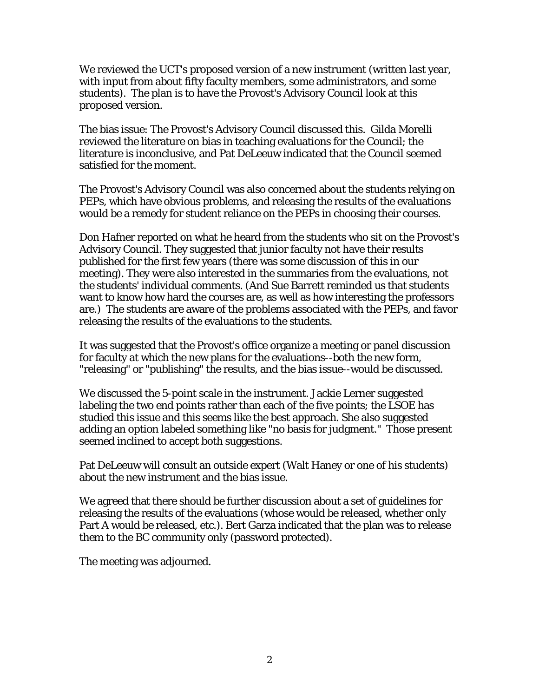We reviewed the UCT's proposed version of a new instrument (written last year, with input from about fifty faculty members, some administrators, and some students). The plan is to have the Provost's Advisory Council look at this proposed version.

The bias issue: The Provost's Advisory Council discussed this. Gilda Morelli reviewed the literature on bias in teaching evaluations for the Council; the literature is inconclusive, and Pat DeLeeuw indicated that the Council seemed satisfied for the moment.

The Provost's Advisory Council was also concerned about the students relying on PEPs, which have obvious problems, and releasing the results of the evaluations would be a remedy for student reliance on the PEPs in choosing their courses.

Don Hafner reported on what he heard from the students who sit on the Provost's Advisory Council. They suggested that junior faculty not have their results published for the first few years (there was some discussion of this in our meeting). They were also interested in the summaries from the evaluations, not the students' individual comments. (And Sue Barrett reminded us that students want to know how hard the courses are, as well as how interesting the professors are.) The students are aware of the problems associated with the PEPs, and favor releasing the results of the evaluations to the students.

It was suggested that the Provost's office organize a meeting or panel discussion for faculty at which the new plans for the evaluations--both the new form, "releasing" or "publishing" the results, and the bias issue--would be discussed.

We discussed the 5-point scale in the instrument. Jackie Lerner suggested labeling the two end points rather than each of the five points; the LSOE has studied this issue and this seems like the best approach. She also suggested adding an option labeled something like "no basis for judgment." Those present seemed inclined to accept both suggestions.

Pat DeLeeuw will consult an outside expert (Walt Haney or one of his students) about the new instrument and the bias issue.

We agreed that there should be further discussion about a set of guidelines for releasing the results of the evaluations (whose would be released, whether only Part A would be released, etc.). Bert Garza indicated that the plan was to release them to the BC community only (password protected).

The meeting was adjourned.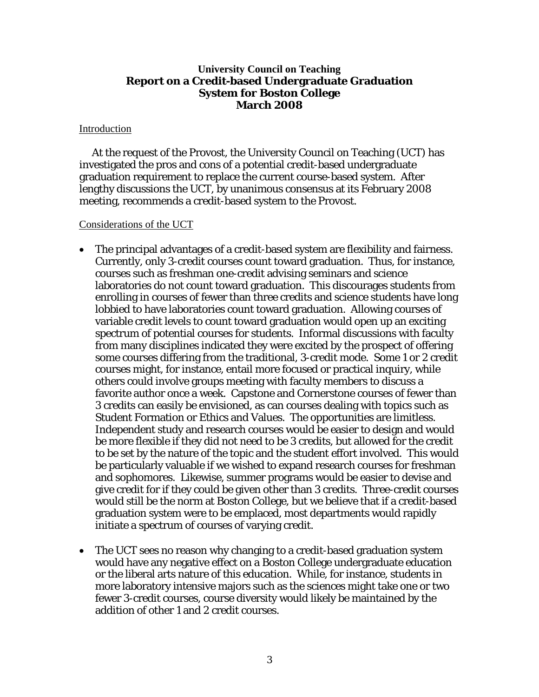## **University Council on Teaching Report on a Credit-based Undergraduate Graduation System for Boston College March 2008**

### Introduction

 At the request of the Provost, the University Council on Teaching (UCT) has investigated the pros and cons of a potential credit-based undergraduate graduation requirement to replace the current course-based system. After lengthy discussions the UCT, by unanimous consensus at its February 2008 meeting, recommends a credit-based system to the Provost.

### Considerations of the UCT

- The principal advantages of a credit-based system are flexibility and fairness. Currently, only 3-credit courses count toward graduation. Thus, for instance, courses such as freshman one-credit advising seminars and science laboratories do not count toward graduation. This discourages students from enrolling in courses of fewer than three credits and science students have long lobbied to have laboratories count toward graduation. Allowing courses of variable credit levels to count toward graduation would open up an exciting spectrum of potential courses for students. Informal discussions with faculty from many disciplines indicated they were excited by the prospect of offering some courses differing from the traditional, 3-credit mode. Some 1 or 2 credit courses might, for instance, entail more focused or practical inquiry, while others could involve groups meeting with faculty members to discuss a favorite author once a week. Capstone and Cornerstone courses of fewer than 3 credits can easily be envisioned, as can courses dealing with topics such as Student Formation or Ethics and Values. The opportunities are limitless. Independent study and research courses would be easier to design and would be more flexible if they did not need to be 3 credits, but allowed for the credit to be set by the nature of the topic and the student effort involved. This would be particularly valuable if we wished to expand research courses for freshman and sophomores. Likewise, summer programs would be easier to devise and give credit for if they could be given other than 3 credits. Three-credit courses would still be the norm at Boston College, but we believe that if a credit-based graduation system were to be emplaced, most departments would rapidly initiate a spectrum of courses of varying credit.
- The UCT sees no reason why changing to a credit-based graduation system would have any negative effect on a Boston College undergraduate education or the liberal arts nature of this education. While, for instance, students in more laboratory intensive majors such as the sciences might take one or two fewer 3-credit courses, course diversity would likely be maintained by the addition of other 1 and 2 credit courses.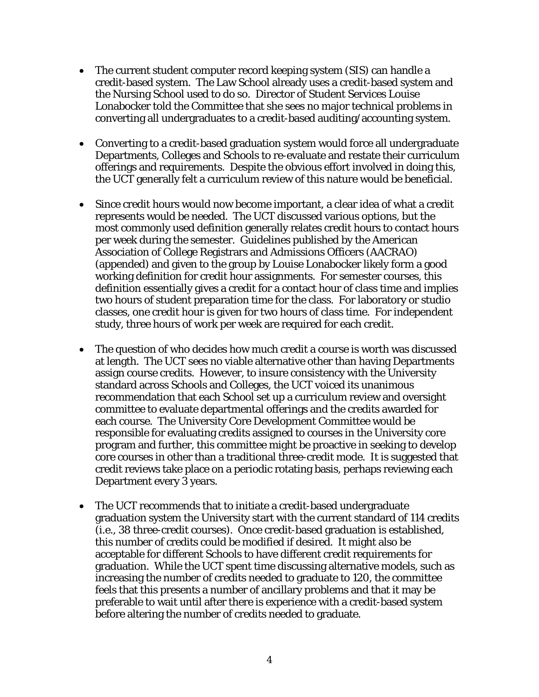- The current student computer record keeping system (SIS) can handle a credit-based system. The Law School already uses a credit-based system and the Nursing School used to do so. Director of Student Services Louise Lonabocker told the Committee that she sees no major technical problems in converting all undergraduates to a credit-based auditing/accounting system.
- Converting to a credit-based graduation system would force all undergraduate Departments, Colleges and Schools to re-evaluate and restate their curriculum offerings and requirements. Despite the obvious effort involved in doing this, the UCT generally felt a curriculum review of this nature would be beneficial.
- Since credit hours would now become important, a clear idea of what a credit represents would be needed. The UCT discussed various options, but the most commonly used definition generally relates credit hours to contact hours per week during the semester. Guidelines published by the American Association of College Registrars and Admissions Officers (AACRAO) (appended) and given to the group by Louise Lonabocker likely form a good working definition for credit hour assignments. For semester courses, this definition essentially gives a credit for a contact hour of class time and implies two hours of student preparation time for the class. For laboratory or studio classes, one credit hour is given for two hours of class time. For independent study, three hours of work per week are required for each credit.
- The question of who decides how much credit a course is worth was discussed at length. The UCT sees no viable alternative other than having Departments assign course credits. However, to insure consistency with the University standard across Schools and Colleges, the UCT voiced its unanimous recommendation that each School set up a curriculum review and oversight committee to evaluate departmental offerings and the credits awarded for each course. The University Core Development Committee would be responsible for evaluating credits assigned to courses in the University core program and further, this committee might be proactive in seeking to develop core courses in other than a traditional three-credit mode. It is suggested that credit reviews take place on a periodic rotating basis, perhaps reviewing each Department every 3 years.
- The UCT recommends that to initiate a credit-based undergraduate graduation system the University start with the current standard of 114 credits (i.e., 38 three-credit courses). Once credit-based graduation is established, this number of credits could be modified if desired. It might also be acceptable for different Schools to have different credit requirements for graduation. While the UCT spent time discussing alternative models, such as increasing the number of credits needed to graduate to 120, the committee feels that this presents a number of ancillary problems and that it may be preferable to wait until after there is experience with a credit-based system before altering the number of credits needed to graduate.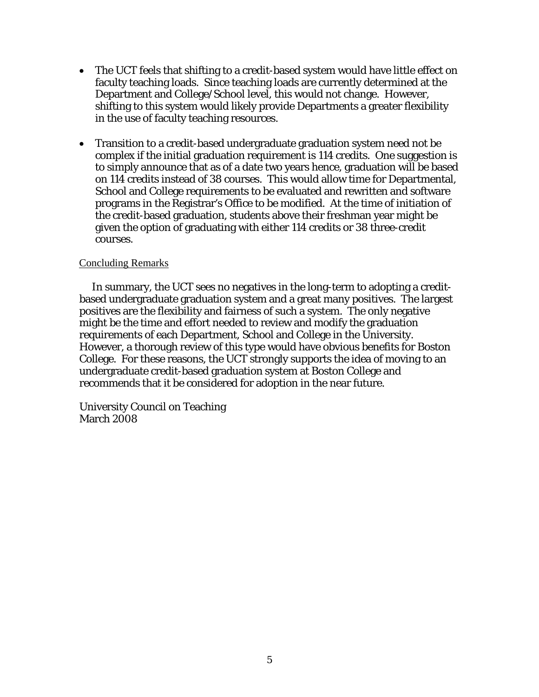- The UCT feels that shifting to a credit-based system would have little effect on faculty teaching loads. Since teaching loads are currently determined at the Department and College/School level, this would not change. However, shifting to this system would likely provide Departments a greater flexibility in the use of faculty teaching resources.
- Transition to a credit-based undergraduate graduation system need not be complex if the initial graduation requirement is 114 credits. One suggestion is to simply announce that as of a date two years hence, graduation will be based on 114 credits instead of 38 courses. This would allow time for Departmental, School and College requirements to be evaluated and rewritten and software programs in the Registrar's Office to be modified. At the time of initiation of the credit-based graduation, students above their freshman year might be given the option of graduating with either 114 credits or 38 three-credit courses.

## Concluding Remarks

 In summary, the UCT sees no negatives in the long-term to adopting a creditbased undergraduate graduation system and a great many positives. The largest positives are the flexibility and fairness of such a system. The only negative might be the time and effort needed to review and modify the graduation requirements of each Department, School and College in the University. However, a thorough review of this type would have obvious benefits for Boston College. For these reasons, the UCT strongly supports the idea of moving to an undergraduate credit-based graduation system at Boston College and recommends that it be considered for adoption in the near future.

University Council on Teaching March 2008